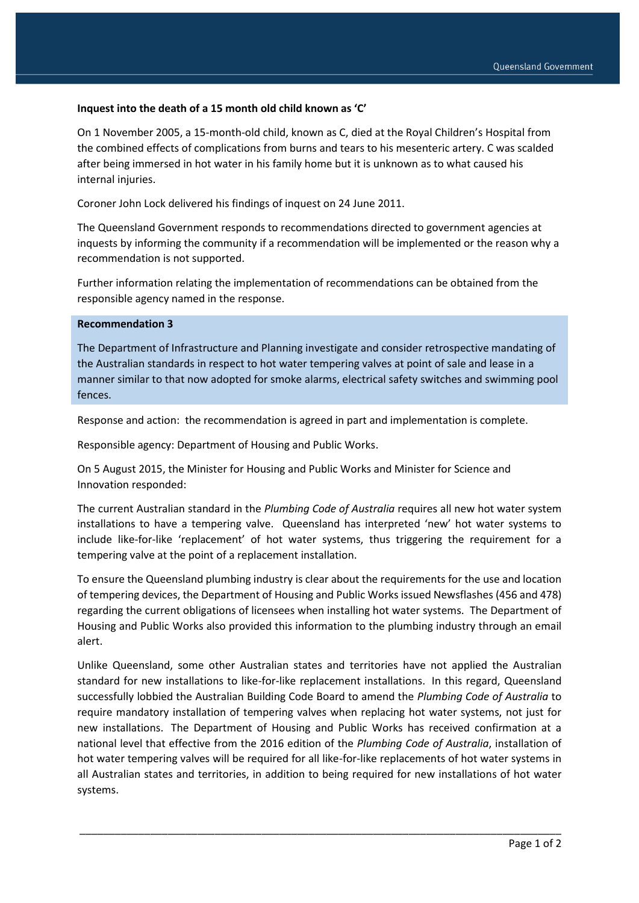## **Inquest into the death of a 15 month old child known as 'C'**

On 1 November 2005, a 15-month-old child, known as C, died at the Royal Children's Hospital from the combined effects of complications from burns and tears to his mesenteric artery. C was scalded after being immersed in hot water in his family home but it is unknown as to what caused his internal injuries.

Coroner John Lock delivered his findings of inquest on 24 June 2011.

The Queensland Government responds to recommendations directed to government agencies at inquests by informing the community if a recommendation will be implemented or the reason why a recommendation is not supported.

Further information relating the implementation of recommendations can be obtained from the responsible agency named in the response.

## **Recommendation 3**

The Department of Infrastructure and Planning investigate and consider retrospective mandating of the Australian standards in respect to hot water tempering valves at point of sale and lease in a manner similar to that now adopted for smoke alarms, electrical safety switches and swimming pool fences.

Response and action: the recommendation is agreed in part and implementation is complete.

Responsible agency: Department of Housing and Public Works.

On 5 August 2015, the Minister for Housing and Public Works and Minister for Science and Innovation responded:

The current Australian standard in the *Plumbing Code of Australia* requires all new hot water system installations to have a tempering valve. Queensland has interpreted 'new' hot water systems to include like-for-like 'replacement' of hot water systems, thus triggering the requirement for a tempering valve at the point of a replacement installation.

To ensure the Queensland plumbing industry is clear about the requirements for the use and location of tempering devices, the Department of Housing and Public Works issued Newsflashes (456 and 478) regarding the current obligations of licensees when installing hot water systems. The Department of Housing and Public Works also provided this information to the plumbing industry through an email alert.

Unlike Queensland, some other Australian states and territories have not applied the Australian standard for new installations to like-for-like replacement installations. In this regard, Queensland successfully lobbied the Australian Building Code Board to amend the *Plumbing Code of Australia* to require mandatory installation of tempering valves when replacing hot water systems, not just for new installations. The Department of Housing and Public Works has received confirmation at a national level that effective from the 2016 edition of the *Plumbing Code of Australia*, installation of hot water tempering valves will be required for all like-for-like replacements of hot water systems in all Australian states and territories, in addition to being required for new installations of hot water systems.

\_\_\_\_\_\_\_\_\_\_\_\_\_\_\_\_\_\_\_\_\_\_\_\_\_\_\_\_\_\_\_\_\_\_\_\_\_\_\_\_\_\_\_\_\_\_\_\_\_\_\_\_\_\_\_\_\_\_\_\_\_\_\_\_\_\_\_\_\_\_\_\_\_\_\_\_\_\_\_\_\_\_